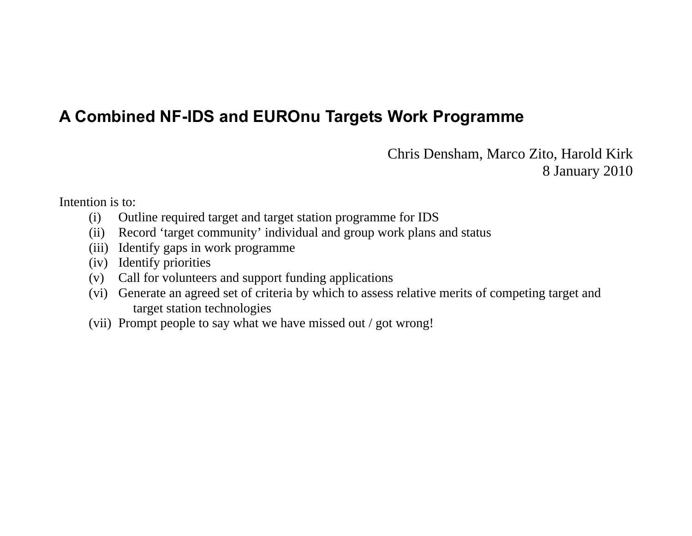# **A Combined NF-IDS and EUROnu Targets Work Programme**

Chris Densham, Marco Zito, Harold Kirk 8 January 2010

Intention is to:

- (i) Outline required target and target station programme for IDS
- (ii) Record 'target community' individual and group work plans and status
- (iii) Identify gaps in work programme
- (iv) Identify priorities
- (v) Call for volunteers and support funding applications
- (vi) Generate an agreed set of criteria by which to assess relative merits of competing target and target station technologies
- (vii) Prompt people to say what we have missed out / got wrong!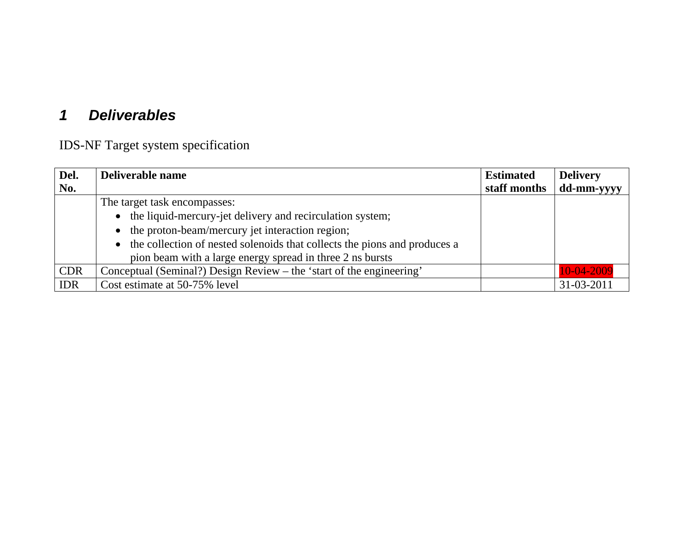#### *1 Deliverables*

IDS-NF Target system specification

| Del.       | Deliverable name                                                            | <b>Estimated</b> | <b>Delivery</b> |
|------------|-----------------------------------------------------------------------------|------------------|-----------------|
| No.        |                                                                             | staff months     | dd-mm-yyyy      |
|            | The target task encompasses:                                                |                  |                 |
|            | • the liquid-mercury-jet delivery and recirculation system;                 |                  |                 |
|            | • the proton-beam/mercury jet interaction region;                           |                  |                 |
|            | • the collection of nested solenoids that collects the pions and produces a |                  |                 |
|            | pion beam with a large energy spread in three 2 ns bursts                   |                  |                 |
| <b>CDR</b> | Conceptual (Seminal?) Design Review – the 'start of the engineering'        |                  | 10-04-2009      |
| <b>IDR</b> | Cost estimate at 50-75% level                                               |                  | 31-03-2011      |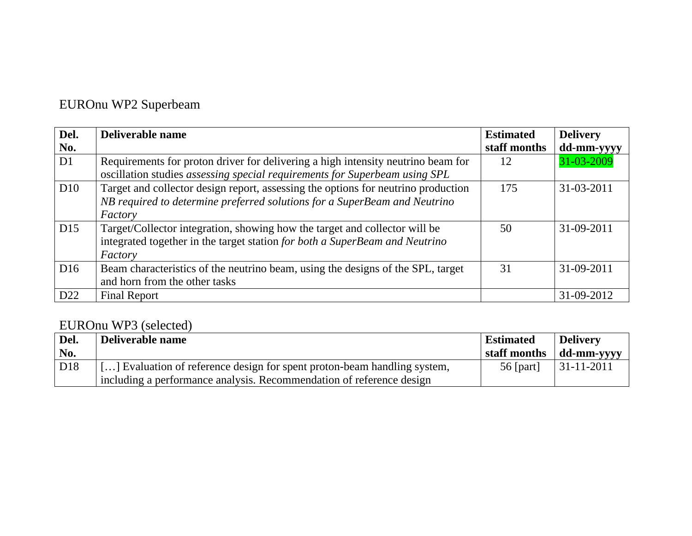# EUROnu WP2 Superbeam

| Del.            | Deliverable name                                                                  | <b>Estimated</b> | <b>Delivery</b> |
|-----------------|-----------------------------------------------------------------------------------|------------------|-----------------|
| No.             |                                                                                   | staff months     | dd-mm-yyyy      |
| D <sub>1</sub>  | Requirements for proton driver for delivering a high intensity neutrino beam for  | 12               | 31-03-2009      |
|                 | oscillation studies assessing special requirements for Superbeam using SPL        |                  |                 |
| D10             | Target and collector design report, assessing the options for neutrino production | 175              | 31-03-2011      |
|                 | NB required to determine preferred solutions for a SuperBeam and Neutrino         |                  |                 |
|                 | Factory                                                                           |                  |                 |
| D15             | Target/Collector integration, showing how the target and collector will be        | 50               | 31-09-2011      |
|                 | integrated together in the target station for both a SuperBeam and Neutrino       |                  |                 |
|                 | Factory                                                                           |                  |                 |
| D16             | Beam characteristics of the neutrino beam, using the designs of the SPL, target   | 31               | 31-09-2011      |
|                 | and horn from the other tasks                                                     |                  |                 |
| D <sub>22</sub> | <b>Final Report</b>                                                               |                  | 31-09-2012      |

## EUROnu WP3 (selected)

| Del.            | Deliverable name                                                         | <b>Estimated</b> | <b>Delivery</b> |
|-----------------|--------------------------------------------------------------------------|------------------|-----------------|
| No.             |                                                                          | staff months     | dd-mm-yyyy      |
| D <sub>18</sub> | [] Evaluation of reference design for spent proton-beam handling system, | 56 [part]        | $ 31-11-2011 $  |
|                 | including a performance analysis. Recommendation of reference design     |                  |                 |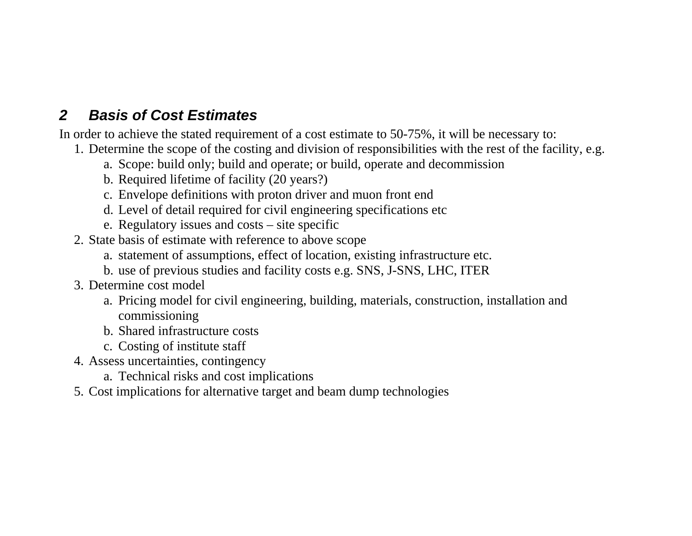## *2 Basis of Cost Estimates*

In order to achieve the stated requirement of a cost estimate to 50-75%, it will be necessary to:

- 1. Determine the scope of the costing and division of responsibilities with the rest of the facility, e.g.
	- a. Scope: build only; build and operate; or build, operate and decommission
	- b. Required lifetime of facility (20 years?)
	- c. Envelope definitions with proton driver and muon front end
	- d. Level of detail required for civil engineering specifications etc
	- e. Regulatory issues and costs site specific
- 2. State basis of estimate with reference to above scope
	- a. statement of assumptions, effect of location, existing infrastructure etc.
	- b. use of previous studies and facility costs e.g. SNS, J-SNS, LHC, ITER
- 3. Determine cost model
	- a. Pricing model for civil engineering, building, materials, construction, installation and commissioning
	- b. Shared infrastructure costs
	- c. Costing of institute staff
- 4. Assess uncertainties, contingency
	- a. Technical risks and cost implications
- 5. Cost implications for alternative target and beam dump technologies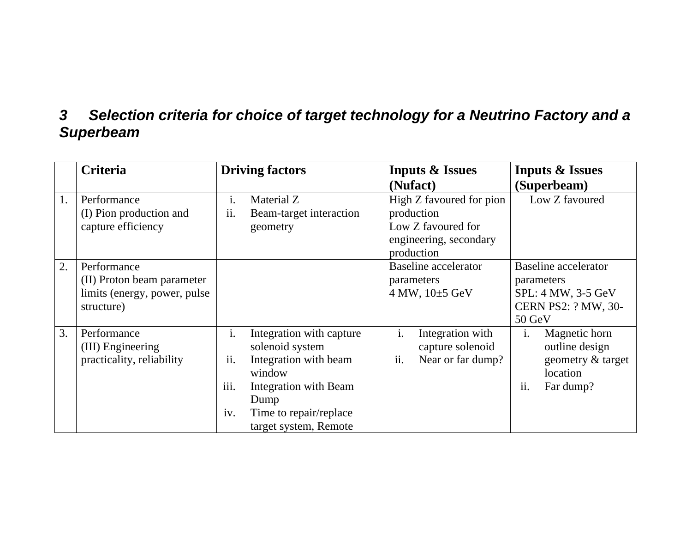### *3 Selection criteria for choice of target technology for a Neutrino Factory and a Superbeam*

|    | <b>Criteria</b>                                                                         |                       | <b>Driving factors</b>                                                           |           | <b>Inputs &amp; Issues</b>                                  |                | <b>Inputs &amp; Issues</b>                                                                              |
|----|-----------------------------------------------------------------------------------------|-----------------------|----------------------------------------------------------------------------------|-----------|-------------------------------------------------------------|----------------|---------------------------------------------------------------------------------------------------------|
|    |                                                                                         |                       |                                                                                  |           | (Nufact)                                                    |                | (Superbeam)                                                                                             |
| 1. | Performance<br>(I) Pion production and                                                  | $\mathbf{i}$ .<br>ii. | Material Z<br>Beam-target interaction                                            |           | High Z favoured for pion<br>production                      |                | Low Z favoured                                                                                          |
|    | capture efficiency                                                                      |                       | geometry                                                                         |           | Low Z favoured for<br>engineering, secondary<br>production  |                |                                                                                                         |
| 2. | Performance<br>(II) Proton beam parameter<br>limits (energy, power, pulse<br>structure) |                       |                                                                                  |           | <b>Baseline accelerator</b><br>parameters<br>4 MW, 10±5 GeV |                | <b>Baseline</b> accelerator<br>parameters<br>SPL: 4 MW, 3-5 GeV<br><b>CERN PS2: ? MW, 30-</b><br>50 GeV |
| 3. | Performance<br>(III) Engineering<br>practicality, reliability                           | i.<br>ii.             | Integration with capture<br>solenoid system<br>Integration with beam<br>window   | i.<br>ii. | Integration with<br>capture solenoid<br>Near or far dump?   | $\mathbf{1}$ . | Magnetic horn<br>outline design<br>geometry & target<br>location                                        |
|    |                                                                                         | iii.<br>iv.           | Integration with Beam<br>Dump<br>Time to repair/replace<br>target system, Remote |           |                                                             | ii.            | Far dump?                                                                                               |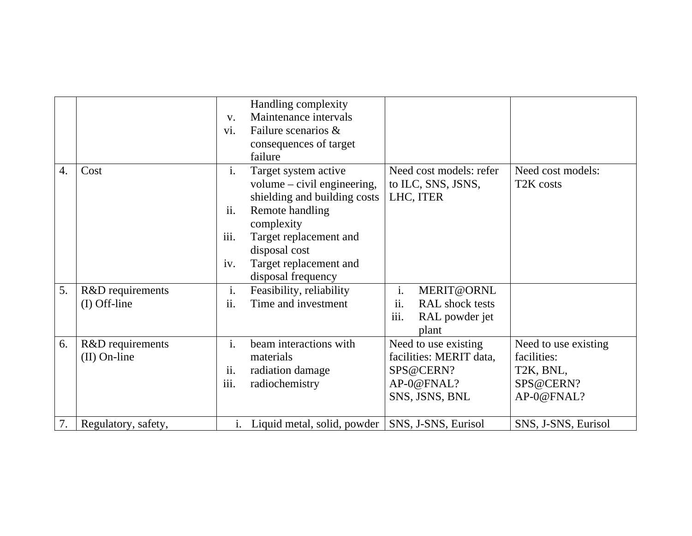|    |                                    | $V_{\cdot}$<br>vi.            | Handling complexity<br>Maintenance intervals<br>Failure scenarios &<br>consequences of target<br>failure                                                                                                          |                                                                                              |                                                                                          |
|----|------------------------------------|-------------------------------|-------------------------------------------------------------------------------------------------------------------------------------------------------------------------------------------------------------------|----------------------------------------------------------------------------------------------|------------------------------------------------------------------------------------------|
| 4. | Cost                               | i.<br>ii.<br>iii.<br>iv.      | Target system active<br>volume $-$ civil engineering,<br>shielding and building costs<br>Remote handling<br>complexity<br>Target replacement and<br>disposal cost<br>Target replacement and<br>disposal frequency | Need cost models: refer<br>to ILC, SNS, JSNS,<br>LHC, ITER                                   | Need cost models:<br>T <sub>2</sub> K costs                                              |
| 5. | R&D requirements                   | i.                            | Feasibility, reliability                                                                                                                                                                                          | i.<br>MERIT@ORNL                                                                             |                                                                                          |
|    | $(I)$ Off-line                     | ii.                           | Time and investment                                                                                                                                                                                               | ii.<br>RAL shock tests<br>iii.<br>RAL powder jet<br>plant                                    |                                                                                          |
| 6. | R&D requirements<br>$(II)$ On-line | $\mathbf{i}$ .<br>ii.<br>iii. | beam interactions with<br>materials<br>radiation damage<br>radiochemistry                                                                                                                                         | Need to use existing<br>facilities: MERIT data,<br>SPS@CERN?<br>AP-0@FNAL?<br>SNS, JSNS, BNL | Need to use existing<br>facilities:<br>T <sub>2</sub> K, BNL,<br>SPS@CERN?<br>AP-0@FNAL? |
| 7. | Regulatory, safety,                |                               | i. Liquid metal, solid, powder   SNS, J-SNS, Eurisol                                                                                                                                                              |                                                                                              | SNS, J-SNS, Eurisol                                                                      |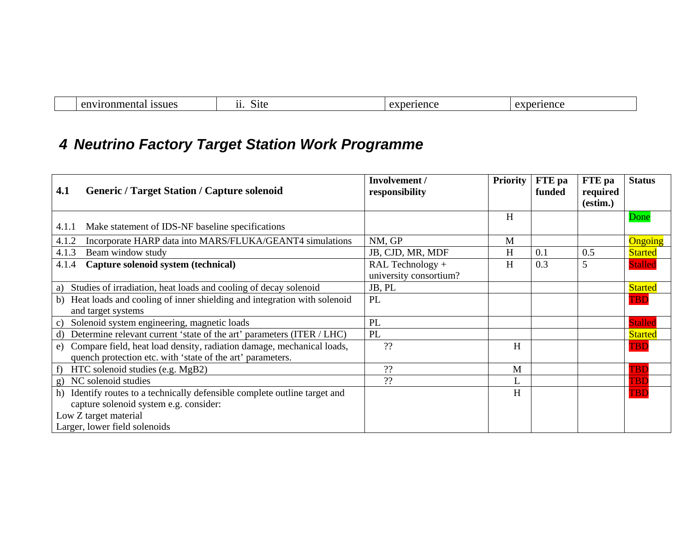| $\sim$ r<br>$\overline{\phantom{a}}$<br> | - 2117 | ĸ |  |
|------------------------------------------|--------|---|--|

# *4 Neutrino Factory Target Station Work Programme*

| <b>Generic / Target Station / Capture solenoid</b><br>4.1                                                                              | Involvement /<br>responsibility            | <b>Priority</b> | FTE pa<br>funded | FTE pa<br>required | <b>Status</b>  |
|----------------------------------------------------------------------------------------------------------------------------------------|--------------------------------------------|-----------------|------------------|--------------------|----------------|
|                                                                                                                                        |                                            |                 |                  | (estim.)           |                |
| Make statement of IDS-NF baseline specifications<br>4.1.1                                                                              |                                            | H               |                  |                    | Done           |
| Incorporate HARP data into MARS/FLUKA/GEANT4 simulations<br>4.1.2                                                                      | NM, GP                                     | M               |                  |                    | Ongoing        |
| Beam window study<br>4.1.3                                                                                                             | JB, CJD, MR, MDF                           | H               | 0.1              | 0.5                | <b>Started</b> |
| Capture solenoid system (technical)<br>4.1.4                                                                                           | RAL Technology +<br>university consortium? | H               | 0.3              | 5                  | <b>Stalled</b> |
| Studies of irradiation, heat loads and cooling of decay solenoid<br>a)                                                                 | JB, PL                                     |                 |                  |                    | <b>Started</b> |
| Heat loads and cooling of inner shielding and integration with solenoid<br>b)                                                          | PL                                         |                 |                  |                    | <b>TBD</b>     |
| and target systems                                                                                                                     |                                            |                 |                  |                    |                |
| Solenoid system engineering, magnetic loads<br>$\mathcal{C}$ )                                                                         | PL                                         |                 |                  |                    | <b>Stalled</b> |
| Determine relevant current 'state of the art' parameters (ITER / LHC)<br>d)                                                            | PL                                         |                 |                  |                    | <b>Started</b> |
| e) Compare field, heat load density, radiation damage, mechanical loads,<br>quench protection etc. with 'state of the art' parameters. | ??                                         | $H_{\rm}$       |                  |                    | <b>TBD</b>     |
| HTC solenoid studies (e.g. MgB2)<br>f)                                                                                                 | ??                                         | M               |                  |                    | TBD            |
| g) NC solenoid studies                                                                                                                 | ??                                         | L               |                  |                    | TBD            |
| Identify routes to a technically defensible complete outline target and<br>h)                                                          |                                            | H               |                  |                    | <b>TBD</b>     |
| capture solenoid system e.g. consider:                                                                                                 |                                            |                 |                  |                    |                |
| Low Z target material                                                                                                                  |                                            |                 |                  |                    |                |
| Larger, lower field solenoids                                                                                                          |                                            |                 |                  |                    |                |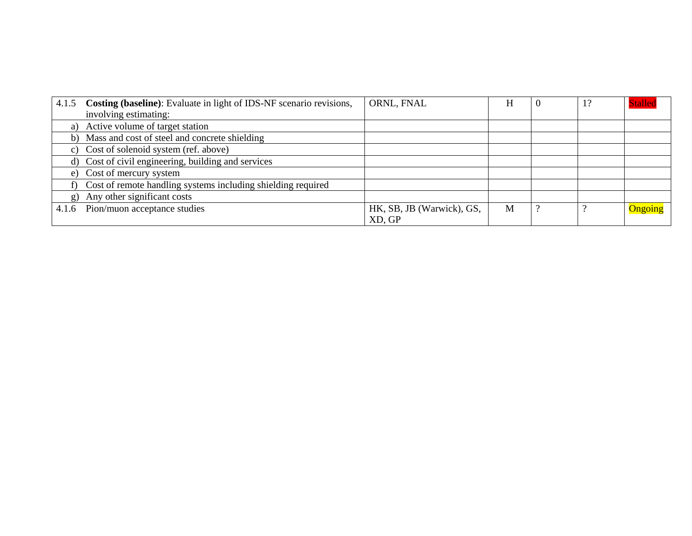| 4.1.5 | <b>Costing (baseline):</b> Evaluate in light of IDS-NF scenario revisions, | ORNL, FNAL                | H | 1? | <b>Stalled</b> |
|-------|----------------------------------------------------------------------------|---------------------------|---|----|----------------|
|       | involving estimating:                                                      |                           |   |    |                |
|       | a) Active volume of target station                                         |                           |   |    |                |
|       | b) Mass and cost of steel and concrete shielding                           |                           |   |    |                |
|       | c) Cost of solenoid system (ref. above)                                    |                           |   |    |                |
|       | d) Cost of civil engineering, building and services                        |                           |   |    |                |
|       | e) Cost of mercury system                                                  |                           |   |    |                |
|       | f) Cost of remote handling systems including shielding required            |                           |   |    |                |
|       | g) Any other significant costs                                             |                           |   |    |                |
| 4.1.6 | Pion/muon acceptance studies                                               | HK, SB, JB (Warwick), GS, | M |    | Ongoing        |
|       |                                                                            | XD, GP                    |   |    |                |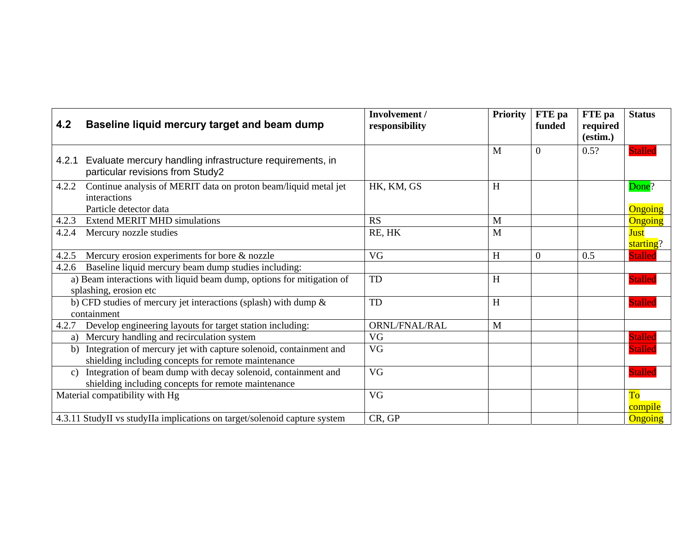| 4.2             | Baseline liquid mercury target and beam dump                                                                             | Involvement /<br>responsibility | <b>Priority</b> | FTE pa<br>funded | FTE pa<br>required<br>(estim.) | <b>Status</b>     |
|-----------------|--------------------------------------------------------------------------------------------------------------------------|---------------------------------|-----------------|------------------|--------------------------------|-------------------|
| 4.2.1           | Evaluate mercury handling infrastructure requirements, in<br>particular revisions from Study2                            |                                 | M               | $\overline{0}$   | 0.5?                           | <b>Stalled</b>    |
| 4.2.2           | Continue analysis of MERIT data on proton beam/liquid metal jet<br>interactions<br>Particle detector data                | HK, KM, GS                      | H               |                  |                                | Done?<br>Ongoing  |
| 4.2.3           | <b>Extend MERIT MHD simulations</b>                                                                                      | <b>RS</b>                       | M               |                  |                                | Ongoing           |
| 4.2.4           | Mercury nozzle studies                                                                                                   | RE, HK                          | M               |                  |                                | Just<br>starting? |
| 4.2.5           | Mercury erosion experiments for bore $\&$ nozzle                                                                         | VG                              | H               | $\theta$         | 0.5                            | <b>Stalled</b>    |
| 4.2.6           | Baseline liquid mercury beam dump studies including:                                                                     |                                 |                 |                  |                                |                   |
|                 | a) Beam interactions with liquid beam dump, options for mitigation of<br>splashing, erosion etc                          | TD                              | H               |                  |                                | <b>Stalled</b>    |
|                 | b) CFD studies of mercury jet interactions (splash) with dump &<br>containment                                           | TD                              | H               |                  |                                | <b>Stalled</b>    |
| 4.2.7           | Develop engineering layouts for target station including:                                                                | ORNL/FNAL/RAL                   | M               |                  |                                |                   |
| a)              | Mercury handling and recirculation system                                                                                | <b>VG</b>                       |                 |                  |                                | <b>Stalled</b>    |
| b)              | Integration of mercury jet with capture solenoid, containment and<br>shielding including concepts for remote maintenance | VG                              |                 |                  |                                | <b>Stalled</b>    |
| $\mathcal{C}$ ) | Integration of beam dump with decay solenoid, containment and<br>shielding including concepts for remote maintenance     | <b>VG</b>                       |                 |                  |                                | <b>Stalled</b>    |
|                 | Material compatibility with Hg                                                                                           | VG                              |                 |                  |                                | To<br>compile     |
|                 | 4.3.11 StudyII vs studyIIa implications on target/solenoid capture system                                                | CR, GP                          |                 |                  |                                | <b>Ongoing</b>    |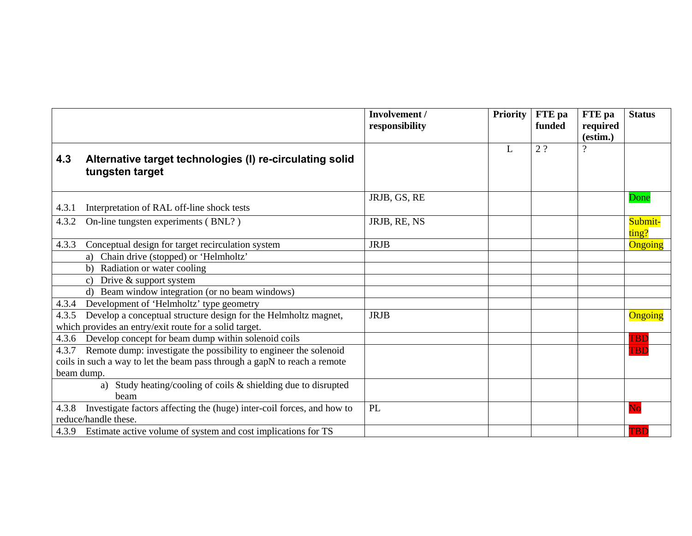|       |                                                                                                | Involvement /<br>responsibility | <b>Priority</b> | FTE pa<br>funded | FTE pa<br>required<br>(estim.) | <b>Status</b>    |
|-------|------------------------------------------------------------------------------------------------|---------------------------------|-----------------|------------------|--------------------------------|------------------|
| 4.3   | Alternative target technologies (I) re-circulating solid<br>tungsten target                    |                                 | L               | 2?               | $\overline{\mathcal{L}}$       |                  |
| 4.3.1 | Interpretation of RAL off-line shock tests                                                     | JRJB, GS, RE                    |                 |                  |                                | Done             |
| 4.3.2 | On-line tungsten experiments (BNL?)                                                            | JRJB, RE, NS                    |                 |                  |                                | Submit-<br>ting? |
| 4.3.3 | Conceptual design for target recirculation system                                              | <b>JRJB</b>                     |                 |                  |                                | Ongoing          |
|       | Chain drive (stopped) or 'Helmholtz'<br>a)                                                     |                                 |                 |                  |                                |                  |
|       | Radiation or water cooling<br>b)                                                               |                                 |                 |                  |                                |                  |
|       | Drive & support system<br>$\mathcal{C}$                                                        |                                 |                 |                  |                                |                  |
|       | Beam window integration (or no beam windows)                                                   |                                 |                 |                  |                                |                  |
| 4.3.4 | Development of 'Helmholtz' type geometry                                                       |                                 |                 |                  |                                |                  |
| 4.3.5 | Develop a conceptual structure design for the Helmholtz magnet,                                | <b>JRJB</b>                     |                 |                  |                                | Ongoing          |
|       | which provides an entry/exit route for a solid target.                                         |                                 |                 |                  |                                |                  |
| 4.3.6 | Develop concept for beam dump within solenoid coils                                            |                                 |                 |                  |                                | TBD              |
| 4.3.7 | Remote dump: investigate the possibility to engineer the solenoid                              |                                 |                 |                  |                                | <b>TBD</b>       |
|       | coils in such a way to let the beam pass through a gapN to reach a remote                      |                                 |                 |                  |                                |                  |
|       | beam dump.                                                                                     |                                 |                 |                  |                                |                  |
|       | Study heating/cooling of coils $\&$ shielding due to disrupted<br>a)<br>beam                   |                                 |                 |                  |                                |                  |
| 4.3.8 | Investigate factors affecting the (huge) inter-coil forces, and how to<br>reduce/handle these. | PL                              |                 |                  |                                | Nc               |
|       | 4.3.9 Estimate active volume of system and cost implications for TS                            |                                 |                 |                  |                                | TBD              |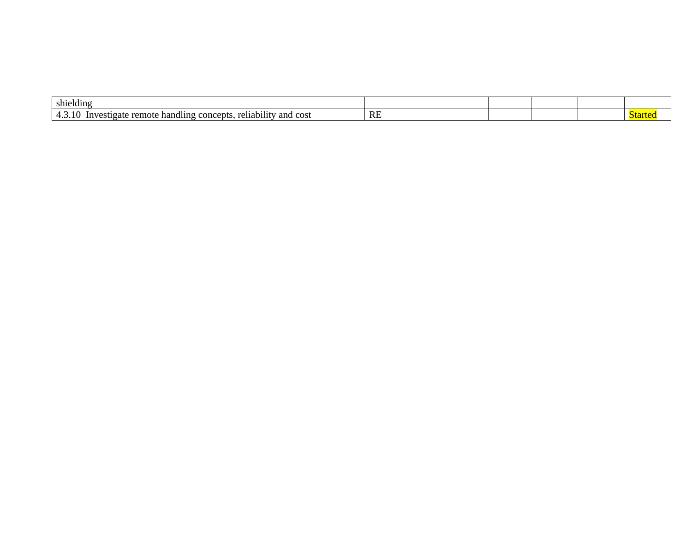| .<br>shielding                                                                                          |           |  |  |
|---------------------------------------------------------------------------------------------------------|-----------|--|--|
| $\cdots$<br>$\sim$<br>' cost<br>and<br>cepts.<br>reliabilit<br>Investigate<br>con<br>handling<br>remote | <b>RE</b> |  |  |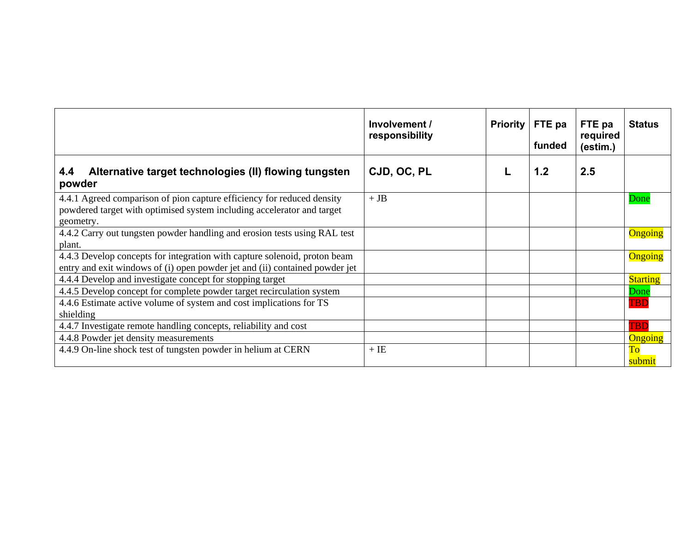|                                                                                                                                                               | Involvement /<br>responsibility | <b>Priority</b> | FTE pa<br>funded | FTE pa<br>required<br>(estim.) | <b>Status</b>       |
|---------------------------------------------------------------------------------------------------------------------------------------------------------------|---------------------------------|-----------------|------------------|--------------------------------|---------------------|
| Alternative target technologies (II) flowing tungsten<br>4.4<br>powder                                                                                        | CJD, OC, PL                     |                 | 1.2              | 2.5                            |                     |
| 4.4.1 Agreed comparison of pion capture efficiency for reduced density<br>powdered target with optimised system including accelerator and target<br>geometry. | $+$ JB                          |                 |                  |                                | Done                |
| 4.4.2 Carry out tungsten powder handling and erosion tests using RAL test<br>plant.                                                                           |                                 |                 |                  |                                | Ongoing             |
| 4.4.3 Develop concepts for integration with capture solenoid, proton beam<br>entry and exit windows of (i) open powder jet and (ii) contained powder jet      |                                 |                 |                  |                                | Ongoing             |
| 4.4.4 Develop and investigate concept for stopping target                                                                                                     |                                 |                 |                  |                                | <b>Starting</b>     |
| 4.4.5 Develop concept for complete powder target recirculation system                                                                                         |                                 |                 |                  |                                | Done                |
| 4.4.6 Estimate active volume of system and cost implications for TS<br>shielding                                                                              |                                 |                 |                  |                                | <b>TBD</b>          |
| 4.4.7 Investigate remote handling concepts, reliability and cost                                                                                              |                                 |                 |                  |                                | <b>TBD</b>          |
| 4.4.8 Powder jet density measurements                                                                                                                         |                                 |                 |                  |                                | Ongoing             |
| 4.4.9 On-line shock test of tungsten powder in helium at CERN                                                                                                 | $+$ IE                          |                 |                  |                                | To<br><u>submit</u> |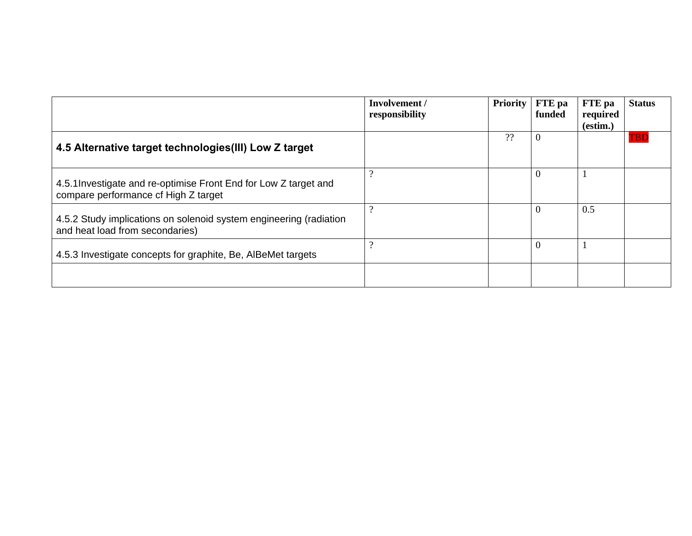|                                                                                                          | Involvement /<br>responsibility | <b>Priority</b> | FTE pa<br>funded | <b>FTE</b> pa<br>required<br>(estim.) | <b>Status</b> |
|----------------------------------------------------------------------------------------------------------|---------------------------------|-----------------|------------------|---------------------------------------|---------------|
| 4.5 Alternative target technologies (III) Low Z target                                                   |                                 | ??              | -0               |                                       | TBD           |
| 4.5.1 Investigate and re-optimise Front End for Low Z target and<br>compare performance cf High Z target | $\Omega$                        |                 | U                |                                       |               |
| 4.5.2 Study implications on solenoid system engineering (radiation<br>and heat load from secondaries)    | $\Omega$                        |                 | U                | 0.5                                   |               |
| 4.5.3 Investigate concepts for graphite, Be, AlBeMet targets                                             | റ                               |                 | -0               |                                       |               |
|                                                                                                          |                                 |                 |                  |                                       |               |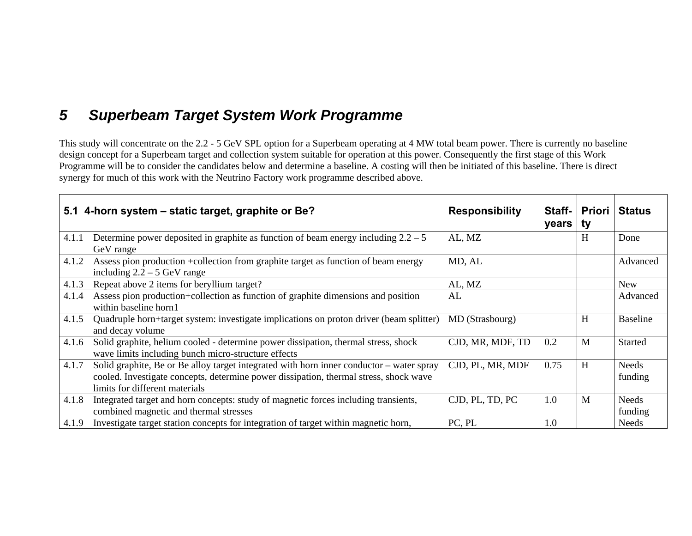### *5 Superbeam Target System Work Programme*

This study will concentrate on the 2.2 - 5 GeV SPL option for a Superbeam operating at 4 MW total beam power. There is currently no baseline design concept for a Superbeam target and collection system suitable for operation at this power. Consequently the first stage of this Work Programme will be to consider the candidates below and determine a baseline. A costing will then be initiated of this baseline. There is direct synergy for much of this work with the Neutrino Factory work programme described above.

|       | 5.1 4-horn system - static target, graphite or Be?                                                                                                                                                                  | <b>Responsibility</b> | Staff-<br>years | Priori<br>ty | <b>Status</b>           |
|-------|---------------------------------------------------------------------------------------------------------------------------------------------------------------------------------------------------------------------|-----------------------|-----------------|--------------|-------------------------|
| 4.1.1 | Determine power deposited in graphite as function of beam energy including $2.2 - 5$<br>GeV range                                                                                                                   | AL, MZ                |                 | H            | Done                    |
| 4.1.2 | Assess pion production +collection from graphite target as function of beam energy<br>including $2.2 - 5$ GeV range                                                                                                 | MD, AL                |                 |              | Advanced                |
| 4.1.3 | Repeat above 2 items for beryllium target?                                                                                                                                                                          | AL, MZ                |                 |              | New                     |
| 4.1.4 | Assess pion production+collection as function of graphite dimensions and position<br>within baseline horn1                                                                                                          | AL                    |                 |              | Advanced                |
| 4.1.5 | Quadruple horn+target system: investigate implications on proton driver (beam splitter)<br>and decay volume                                                                                                         | MD (Strasbourg)       |                 | H            | <b>Baseline</b>         |
| 4.1.6 | Solid graphite, helium cooled - determine power dissipation, thermal stress, shock<br>wave limits including bunch micro-structure effects                                                                           | CJD, MR, MDF, TD      | 0.2             | M            | <b>Started</b>          |
| 4.1.7 | Solid graphite, Be or Be alloy target integrated with horn inner conductor – water spray<br>cooled. Investigate concepts, determine power dissipation, thermal stress, shock wave<br>limits for different materials | CJD, PL, MR, MDF      | 0.75            | H            | <b>Needs</b><br>funding |
| 4.1.8 | Integrated target and horn concepts: study of magnetic forces including transients,<br>combined magnetic and thermal stresses                                                                                       | CJD, PL, TD, PC       | 1.0             | M            | <b>Needs</b><br>funding |
| 4.1.9 | Investigate target station concepts for integration of target within magnetic horn,                                                                                                                                 | PC, PL                | 1.0             |              | Needs                   |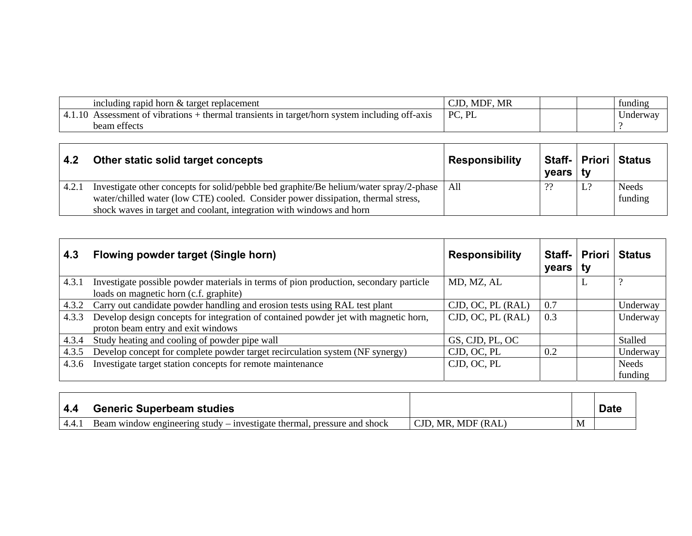| including rapid horn & target replacement                                                                 | MDF<br>MR            |  | funding  |
|-----------------------------------------------------------------------------------------------------------|----------------------|--|----------|
| system including off-axis<br>t of vibrations-<br>thermal<br>transients<br>i target/horn-<br>essment<br>1n | DI<br>$\overline{P}$ |  | Jnderway |
| beam effects                                                                                              |                      |  |          |

| 4.2   | Other static solid target concepts                                                                                                                                                                                                                        | <b>Responsibility</b> | years   ty |    | Staff-   Priori   Status |
|-------|-----------------------------------------------------------------------------------------------------------------------------------------------------------------------------------------------------------------------------------------------------------|-----------------------|------------|----|--------------------------|
| 4.2.1 | Investigate other concepts for solid/pebble bed graphite/Be helium/water spray/2-phase   All<br>water/chilled water (low CTE) cooled. Consider power dissipation, thermal stress,<br>shock waves in target and coolant, integration with windows and horn |                       | ??         | L? | Needs<br>funding         |

| 4.3   | Flowing powder target (Single horn)                                                                                             | <b>Responsibility</b> | years   ty | Staff-   Priori | <b>Status</b>    |
|-------|---------------------------------------------------------------------------------------------------------------------------------|-----------------------|------------|-----------------|------------------|
| 4.3.1 | Investigate possible powder materials in terms of pion production, secondary particle<br>loads on magnetic horn (c.f. graphite) | MD, MZ, AL            |            | ⊥               |                  |
| 4.3.2 | Carry out candidate powder handling and erosion tests using RAL test plant                                                      | CJD, OC, PL (RAL)     | 0.7        |                 | Underway         |
| 4.3.3 | Develop design concepts for integration of contained powder jet with magnetic horn,<br>proton beam entry and exit windows       | CJD, OC, PL (RAL)     | 0.3        |                 | Underway         |
| 4.3.4 | Study heating and cooling of powder pipe wall                                                                                   | GS, CJD, PL, OC       |            |                 | Stalled          |
| 4.3.5 | Develop concept for complete powder target recirculation system (NF synergy)                                                    | CJD, OC, PL           | 0.2        |                 | Underway         |
| 4.3.6 | Investigate target station concepts for remote maintenance                                                                      | CJD, OC, PL           |            |                 | Needs<br>funding |

| 4.4   | <b>Generic Superbeam studies</b>                                        |                    |   | <b>Date</b> |
|-------|-------------------------------------------------------------------------|--------------------|---|-------------|
| 4.4.1 | Beam window engineering study – investigate thermal, pressure and shock | CJD, MR, MDF (RAL) | M |             |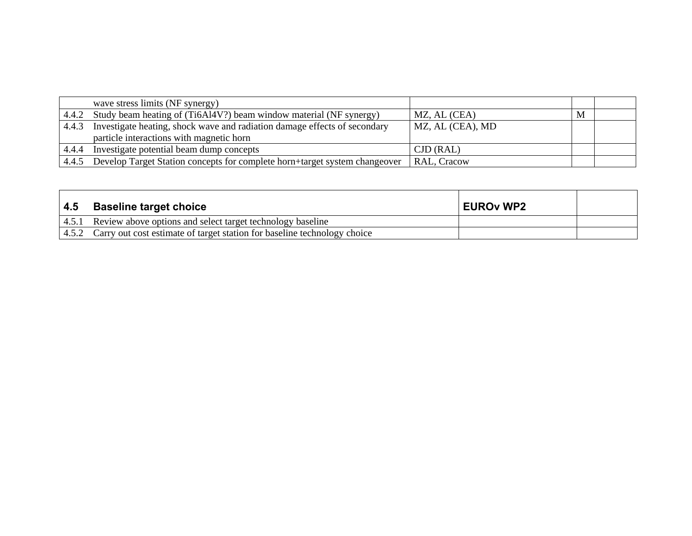|       | wave stress limits (NF synergy)                                            |                  |   |  |
|-------|----------------------------------------------------------------------------|------------------|---|--|
|       | 4.4.2 Study beam heating of (Ti6Al4V?) beam window material (NF synergy)   | MZ, AL (CEA)     | M |  |
| 4.4.3 | Investigate heating, shock wave and radiation damage effects of secondary  | MZ, AL (CEA), MD |   |  |
|       | particle interactions with magnetic horn                                   |                  |   |  |
| 4.4.4 | Investigate potential beam dump concepts                                   | CID (RAL)        |   |  |
| 4.4.5 | Develop Target Station concepts for complete horn+target system changeover | RAL, Cracow      |   |  |

| 4.5 | <b>Baseline target choice</b>                                                  | <b>EUROv WP2</b> |  |
|-----|--------------------------------------------------------------------------------|------------------|--|
|     | 4.5.1 Review above options and select target technology baseline               |                  |  |
|     | 4.5.2 Carry out cost estimate of target station for baseline technology choice |                  |  |